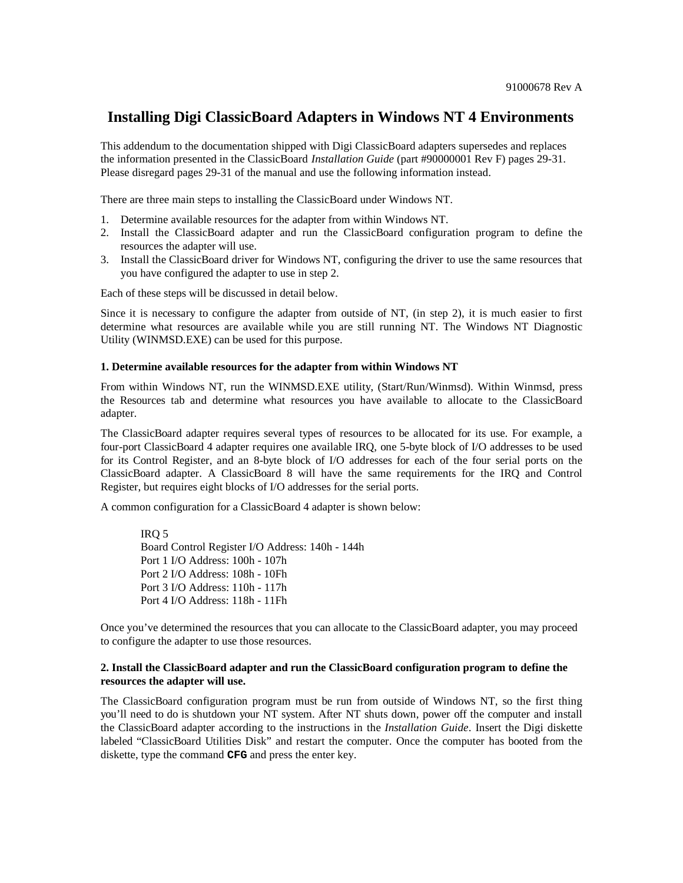## **Installing Digi ClassicBoard Adapters in Windows NT 4 Environments**

This addendum to the documentation shipped with Digi ClassicBoard adapters supersedes and replaces the information presented in the ClassicBoard *Installation Guide* (part #90000001 Rev F) pages 29-31. Please disregard pages 29-31 of the manual and use the following information instead.

There are three main steps to installing the ClassicBoard under Windows NT.

- 1. Determine available resources for the adapter from within Windows NT.
- 2. Install the ClassicBoard adapter and run the ClassicBoard configuration program to define the resources the adapter will use.
- 3. Install the ClassicBoard driver for Windows NT, configuring the driver to use the same resources that you have configured the adapter to use in step 2.

Each of these steps will be discussed in detail below.

Since it is necessary to configure the adapter from outside of NT, (in step 2), it is much easier to first determine what resources are available while you are still running NT. The Windows NT Diagnostic Utility (WINMSD.EXE) can be used for this purpose.

## **1. Determine available resources for the adapter from within Windows NT**

From within Windows NT, run the WINMSD.EXE utility, (Start/Run/Winmsd). Within Winmsd, press the Resources tab and determine what resources you have available to allocate to the ClassicBoard adapter.

The ClassicBoard adapter requires several types of resources to be allocated for its use. For example, a four-port ClassicBoard 4 adapter requires one available IRQ, one 5-byte block of I/O addresses to be used for its Control Register, and an 8-byte block of I/O addresses for each of the four serial ports on the ClassicBoard adapter. A ClassicBoard 8 will have the same requirements for the IRQ and Control Register, but requires eight blocks of I/O addresses for the serial ports.

A common configuration for a ClassicBoard 4 adapter is shown below:

IRQ 5 Board Control Register I/O Address: 140h - 144h Port 1 I/O Address: 100h - 107h Port 2 I/O Address: 108h - 10Fh Port 3 I/O Address: 110h - 117h Port 4 I/O Address: 118h - 11Fh

Once you've determined the resources that you can allocate to the ClassicBoard adapter, you may proceed to configure the adapter to use those resources.

## **2. Install the ClassicBoard adapter and run the ClassicBoard configuration program to define the resources the adapter will use.**

The ClassicBoard configuration program must be run from outside of Windows NT, so the first thing you'll need to do is shutdown your NT system. After NT shuts down, power off the computer and install the ClassicBoard adapter according to the instructions in the *Installation Guide*. Insert the Digi diskette labeled "ClassicBoard Utilities Disk" and restart the computer. Once the computer has booted from the diskette, type the command **CFG** and press the enter key.